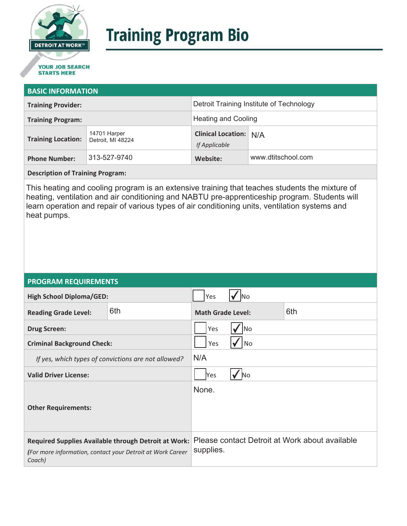

# **Training Program Bio**

## **STARTS HERE**

#### **BASIC INFORMATION**

| <b>Training Provider:</b> |                                   | Detroit Training Institute of Technology       |                    |
|---------------------------|-----------------------------------|------------------------------------------------|--------------------|
| <b>Training Program:</b>  |                                   | <b>Heating and Cooling</b>                     |                    |
| <b>Training Location:</b> | 14701 Harper<br>Detroit, MI 48224 | <b>Clinical Location: N/A</b><br>If Applicable |                    |
| <b>Phone Number:</b>      | 313-527-9740                      | Website:                                       | www.dtitschool.com |

**Description of Training Program:** 

This heating and cooling program is an extensive training that teaches students the mixture of heating, ventilation and air conditioning and NABTU pre-apprenticeship program. Students will learn operation and repair of various types of air conditioning units, ventilation systems and heat pumps.

#### **PROGRAM REQUIREMENTS**

| <b>High School Diploma/GED:</b>                                                                                              |     | Yes                      |  |                                                |
|------------------------------------------------------------------------------------------------------------------------------|-----|--------------------------|--|------------------------------------------------|
| <b>Reading Grade Level:</b>                                                                                                  | 6th | <b>Math Grade Level:</b> |  | 6th                                            |
| <b>Drug Screen:</b>                                                                                                          |     | Yes<br> No               |  |                                                |
| <b>Criminal Background Check:</b>                                                                                            |     | Yes<br>No                |  |                                                |
| If yes, which types of convictions are not allowed?                                                                          |     | N/A                      |  |                                                |
| <b>Valid Driver License:</b>                                                                                                 |     | Yes<br><b>No</b>         |  |                                                |
| <b>Other Requirements:</b>                                                                                                   |     | None.                    |  |                                                |
| Required Supplies Available through Detroit at Work:<br>(For more information, contact your Detroit at Work Career<br>Coach) |     | supplies.                |  | Please contact Detroit at Work about available |